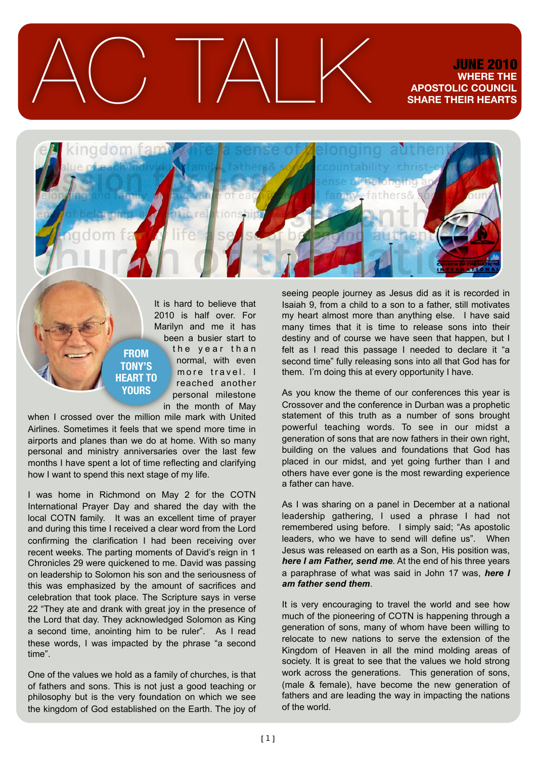$\triangle C$  TALK JUNE 2010

## **WHERE THE APOSTOLIC COUNCIL SHARE THEIR HEARTS**



It is hard to believe that 2010 is half over. For Marilyn and me it has been a busier start to the year than normal, with even more travel. I reached another personal milestone in the month of May **HEART TO** 

when I crossed over the million mile mark with United Airlines. Sometimes it feels that we spend more time in airports and planes than we do at home. With so many personal and ministry anniversaries over the last few months I have spent a lot of time reflecting and clarifying how I want to spend this next stage of my life.

**FROM TONY'S** 

**YOURS**

I was home in Richmond on May 2 for the COTN International Prayer Day and shared the day with the local COTN family. It was an excellent time of prayer and during this time I received a clear word from the Lord confirming the clarification I had been receiving over recent weeks. The parting moments of David's reign in 1 Chronicles 29 were quickened to me. David was passing on leadership to Solomon his son and the seriousness of this was emphasized by the amount of sacrifices and celebration that took place. The Scripture says in verse 22 "They ate and drank with great joy in the presence of the Lord that day. They acknowledged Solomon as King a second time, anointing him to be ruler". As I read these words, I was impacted by the phrase "a second time".

One of the values we hold as a family of churches, is that of fathers and sons. This is not just a good teaching or philosophy but is the very foundation on which we see the kingdom of God established on the Earth. The joy of

seeing people journey as Jesus did as it is recorded in Isaiah 9, from a child to a son to a father, still motivates my heart almost more than anything else. I have said many times that it is time to release sons into their destiny and of course we have seen that happen, but I felt as I read this passage I needed to declare it "a second time" fully releasing sons into all that God has for them. I'm doing this at every opportunity I have.

As you know the theme of our conferences this year is Crossover and the conference in Durban was a prophetic statement of this truth as a number of sons brought powerful teaching words. To see in our midst a generation of sons that are now fathers in their own right, building on the values and foundations that God has placed in our midst, and yet going further than I and others have ever gone is the most rewarding experience a father can have.

As I was sharing on a panel in December at a national leadership gathering, I used a phrase I had not remembered using before. I simply said; "As apostolic leaders, who we have to send will define us". When Jesus was released on earth as a Son, His position was, *here I am Father, send me*. At the end of his three years a paraphrase of what was said in John 17 was, *here I am father send them*.

It is very encouraging to travel the world and see how much of the pioneering of COTN is happening through a generation of sons, many of whom have been willing to relocate to new nations to serve the extension of the Kingdom of Heaven in all the mind molding areas of society. It is great to see that the values we hold strong work across the generations. This generation of sons, (male & female), have become the new generation of fathers and are leading the way in impacting the nations of the world.